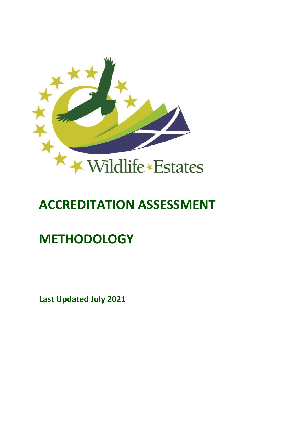

# **ACCREDITATION ASSESSMENT**

## **METHODOLOGY**

**Last Updated July 2021**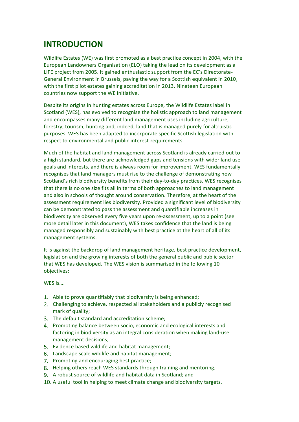## **INTRODUCTION**

Wildlife Estates (WE) was first promoted as a best practice concept in 2004, with the European Landowners Organisation (ELO) taking the lead on its development as a LIFE project from 2005. It gained enthusiastic support from the EC's Directorate-General Environment in Brussels, paving the way for a Scottish equivalent in 2010, with the first pilot estates gaining accreditation in 2013. Nineteen European countries now support the WE Initiative.

Despite its origins in hunting estates across Europe, the Wildlife Estates label in Scotland (WES), has evolved to recognise the holistic approach to land management and encompasses many different land management uses including agriculture, forestry, tourism, hunting and, indeed, land that is managed purely for altruistic purposes. WES has been adapted to incorporate specific Scottish legislation with respect to environmental and public interest requirements.

Much of the habitat and land management across Scotland is already carried out to a high standard, but there are acknowledged gaps and tensions with wider land use goals and interests, and there is always room for improvement. WES fundamentally recognises that land managers must rise to the challenge of demonstrating how Scotland's rich biodiversity benefits from their day-to-day practices. WES recognises that there is no one size fits all in terms of both approaches to land management and also in schools of thought around conservation. Therefore, at the heart of the assessment requirement lies biodiversity. Provided a significant level of biodiversity can be demonstrated to pass the assessment and quantifiable increases in biodiversity are observed every five years upon re-assessment, up to a point (see more detail later in this document), WES takes confidence that the land is being managed responsibly and sustainably with best practice at the heart of all of its management systems.

It is against the backdrop of land management heritage, best practice development, legislation and the growing interests of both the general public and public sector that WES has developed. The WES vision is summarised in the following 10 objectives:

WES is….

- 1. Able to prove quantifiably that biodiversity is being enhanced;
- Challenging to achieve, respected all stakeholders and a publicly recognised mark of quality;
- The default standard and accreditation scheme;
- 4. Promoting balance between socio, economic and ecological interests and factoring in biodiversity as an integral consideration when making land-use management decisions;
- 5. Evidence based wildlife and habitat management;
- Landscape scale wildlife and habitat management;
- 7. Promoting and encouraging best practice;
- 8. Helping others reach WES standards through training and mentoring;
- 9. A robust source of wildlife and habitat data in Scotland; and
- 10. A useful tool in helping to meet climate change and biodiversity targets.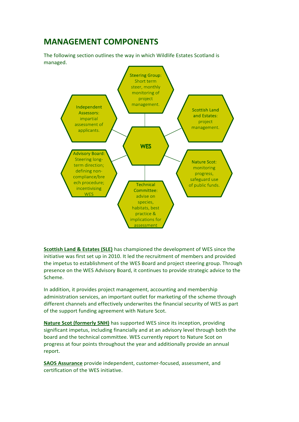## **MANAGEMENT COMPONENTS**

The following section outlines the way in which Wildlife Estates Scotland is managed.



**Scottish Land & Estates (SLE)** has championed the development of WES since the initiative was first set up in 2010. It led the recruitment of members and provided the impetus to establishment of the WES Board and project steering group. Through presence on the WES Advisory Board, it continues to provide strategic advice to the Scheme.

In addition, it provides project management, accounting and membership administration services, an important outlet for marketing of the scheme through different channels and effectively underwrites the financial security of WES as part of the support funding agreement with Nature Scot.

**Nature Scot (formerly SNH)** has supported WES since its inception, providing significant impetus, including financially and at an advisory level through both the board and the technical committee. WES currently report to Nature Scot on progress at four points throughout the year and additionally provide an annual report.

**SAOS Assurance** provide independent, customer-focused, assessment, and certification of the WES initiative.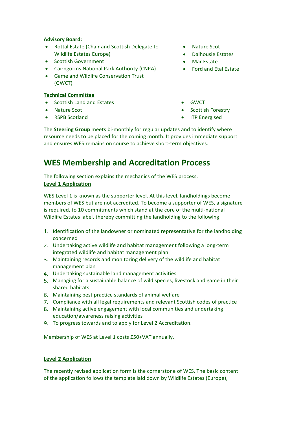#### **Advisory Board:**

- Rottal Estate (Chair and Scottish Delegate to Wildlife Estates Europe)
- Scottish Government
- Cairngorms National Park Authority (CNPA)
- Game and Wildlife Conservation Trust (GWCT)

## **Technical Committee**

- Scottish Land and Estates
- Nature Scot
- RSPB Scotland
- Nature Scot
- Dalhousie Estates
- Mar Estate
- Ford and Etal Estate
- GWCT
- Scottish Forestry
- ITP Energised

The **Steering Group** meets bi-monthly for regular updates and to identify where resource needs to be placed for the coming month. It provides immediate support and ensures WES remains on course to achieve short-term objectives.

## **WES Membership and Accreditation Process**

The following section explains the mechanics of the WES process.

## **Level 1 Application**

WES Level 1 is known as the supporter level. At this level, landholdings become members of WES but are not accredited. To become a supporter of WES, a signature is required, to 10 commitments which stand at the core of the multi-national Wildlife Estates label, thereby committing the landholding to the following:

- 1. Identification of the landowner or nominated representative for the landholding concerned
- Undertaking active wildlife and habitat management following a long-term integrated wildlife and habitat management plan
- Maintaining records and monitoring delivery of the wildlife and habitat management plan
- Undertaking sustainable land management activities
- Managing for a sustainable balance of wild species, livestock and game in their shared habitats
- Maintaining best practice standards of animal welfare
- Compliance with all legal requirements and relevant Scottish codes of practice
- Maintaining active engagement with local communities and undertaking education/awareness raising activities
- To progress towards and to apply for Level 2 Accreditation.

Membership of WES at Level 1 costs £50+VAT annually.

## **Level 2 Application**

The recently revised application form is the cornerstone of WES. The basic content of the application follows the template laid down by Wildlife Estates (Europe),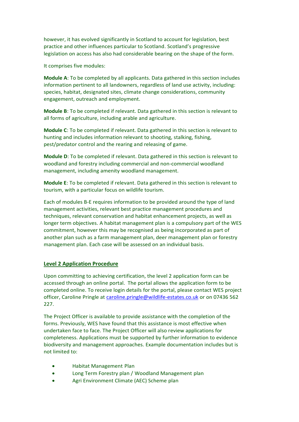however, it has evolved significantly in Scotland to account for legislation, best practice and other influences particular to Scotland. Scotland's progressive legislation on access has also had considerable bearing on the shape of the form.

It comprises five modules:

**Module A**: To be completed by all applicants. Data gathered in this section includes information pertinent to all landowners, regardless of land use activity, including: species, habitat, designated sites, climate change considerations, community engagement, outreach and employment.

**Module B**: To be completed if relevant. Data gathered in this section is relevant to all forms of agriculture, including arable and agriculture.

**Module C**: To be completed if relevant. Data gathered in this section is relevant to hunting and includes information relevant to shooting, stalking, fishing, pest/predator control and the rearing and releasing of game.

**Module D**: To be completed if relevant. Data gathered in this section is relevant to woodland and forestry including commercial and non-commercial woodland management, including amenity woodland management.

**Module E**: To be completed if relevant. Data gathered in this section is relevant to tourism, with a particular focus on wildlife tourism.

Each of modules B-E requires information to be provided around the type of land management activities, relevant best practice management procedures and techniques, relevant conservation and habitat enhancement projects, as well as longer term objectives. A habitat management plan is a compulsory part of the WES commitment, however this may be recognised as being incorporated as part of another plan such as a farm management plan, deer management plan or forestry management plan. Each case will be assessed on an individual basis.

## **Level 2 Application Procedure**

Upon committing to achieving certification, the level 2 application form can be accessed through an online portal. The portal allows the application form to be completed online. To receive login details for the portal, please contact WES project officer, Caroline Pringle at [caroline.pringle@wildlife-estates.co.uk](mailto:caroline.pringle@wildlife-estates.co.uk) or on 07436 562 227.

The Project Officer is available to provide assistance with the completion of the forms. Previously, WES have found that this assistance is most effective when undertaken face to face. The Project Officer will also review applications for completeness. Applications must be supported by further information to evidence biodiversity and management approaches. Example documentation includes but is not limited to:

- Habitat Management Plan
- Long Term Forestry plan / Woodland Management plan
- Agri Environment Climate (AEC) Scheme plan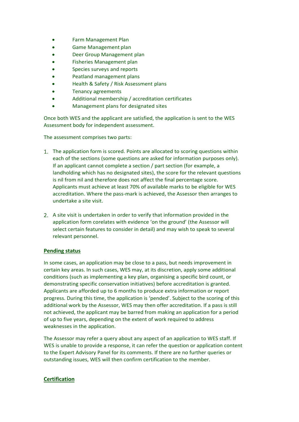- Farm Management Plan
- Game Management plan
- Deer Group Management plan
- Fisheries Management plan
- Species surveys and reports
- Peatland management plans
- Health & Safety / Risk Assessment plans
- Tenancy agreements
- Additional membership / accreditation certificates
- Management plans for designated sites

Once both WES and the applicant are satisfied, the application is sent to the WES Assessment body for independent assessment.

The assessment comprises two parts:

- 1. The application form is scored. Points are allocated to scoring questions within each of the sections (some questions are asked for information purposes only). If an applicant cannot complete a section / part section (for example, a landholding which has no designated sites), the score for the relevant questions is nil from nil and therefore does not affect the final percentage score. Applicants must achieve at least 70% of available marks to be eligible for WES accreditation. Where the pass-mark is achieved, the Assessor then arranges to undertake a site visit.
- A site visit is undertaken in order to verify that information provided in the application form corelates with evidence 'on the ground' (the Assessor will select certain features to consider in detail) and may wish to speak to several relevant personnel.

## **Pending status**

In some cases, an application may be close to a pass, but needs improvement in certain key areas. In such cases, WES may, at its discretion, apply some additional conditions (such as implementing a key plan, organising a specific bird count, or demonstrating specific conservation initiatives) before accreditation is granted. Applicants are afforded up to 6 months to produce extra information or report progress. During this time, the application is 'pended'. Subject to the scoring of this additional work by the Assessor, WES may then offer accreditation. If a pass is still not achieved, the applicant may be barred from making an application for a period of up to five years, depending on the extent of work required to address weaknesses in the application.

The Assessor may refer a query about any aspect of an application to WES staff. If WES is unable to provide a response, it can refer the question or application content to the Expert Advisory Panel for its comments. If there are no further queries or outstanding issues, WES will then confirm certification to the member.

## **Certification**